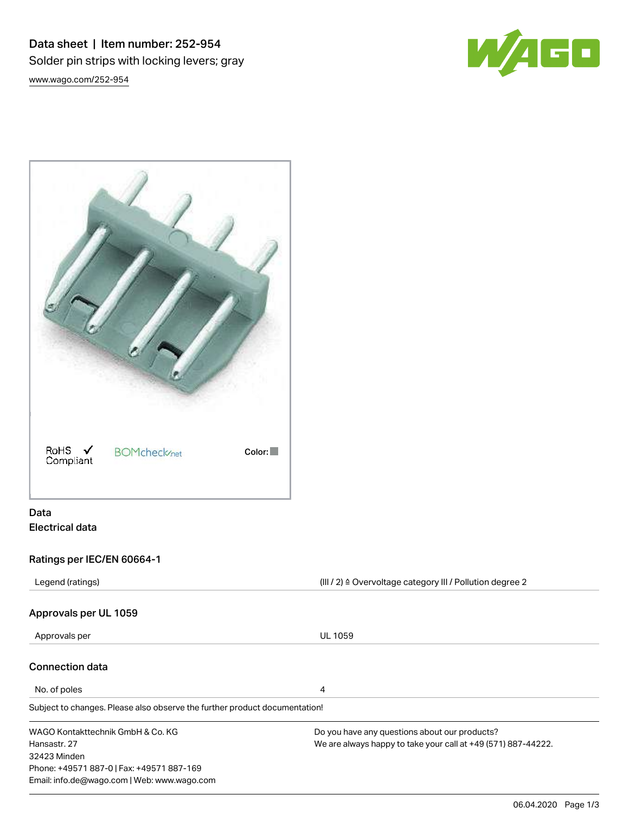Data sheet | Item number: 252-954 Solder pin strips with locking levers; gray [www.wago.com/252-954](http://www.wago.com/252-954)





# Data Electrical data

# Ratings per IEC/EN 60664-1

| $(III / 2)$ $\triangle$ Overvoltage category III / Pollution degree 2<br>Legend (ratings) |                                                               |  |
|-------------------------------------------------------------------------------------------|---------------------------------------------------------------|--|
| Approvals per UL 1059                                                                     |                                                               |  |
| Approvals per                                                                             | <b>UL 1059</b>                                                |  |
| <b>Connection data</b>                                                                    |                                                               |  |
| No. of poles                                                                              | 4                                                             |  |
| Subject to changes. Please also observe the further product documentation!                |                                                               |  |
| WAGO Kontakttechnik GmbH & Co. KG                                                         | Do you have any questions about our products?                 |  |
| Hansastr, 27                                                                              | We are always happy to take your call at +49 (571) 887-44222. |  |
| 32423 Minden                                                                              |                                                               |  |
| Phone: +49571 887-0   Fax: +49571 887-169                                                 |                                                               |  |
| Email: info.de@wago.com   Web: www.wago.com                                               |                                                               |  |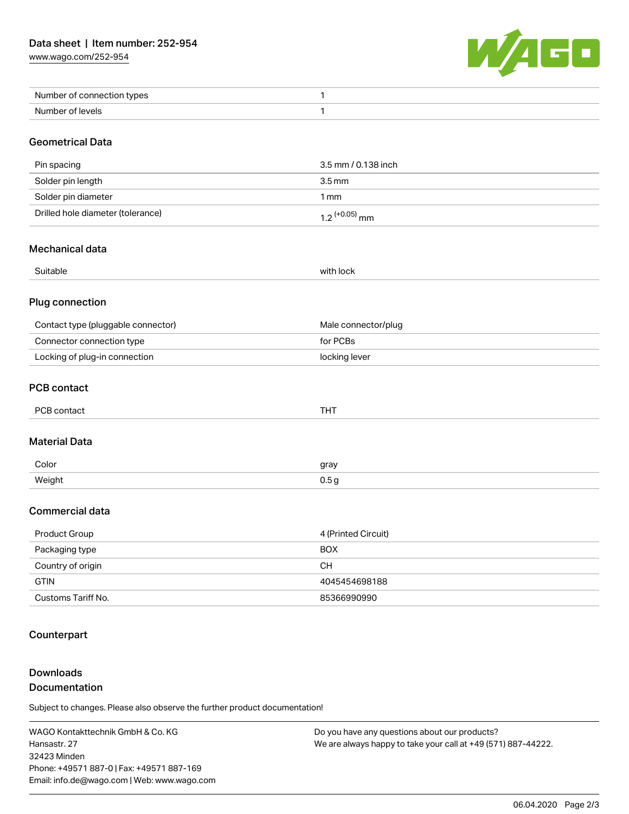[www.wago.com/252-954](http://www.wago.com/252-954)



| Number of connection types |  |
|----------------------------|--|
| Number of levels           |  |

### Geometrical Data

| Pin spacing                       | 3.5 mm / 0.138 inch         |
|-----------------------------------|-----------------------------|
| Solder pin length                 | 3.5 mm                      |
| Solder pin diameter               | 1 mm                        |
| Drilled hole diameter (tolerance) | $1.2$ <sup>(+0.05)</sup> mm |

### Mechanical data

| $\sim$ $\sim$<br>Sultanie<br>. | .<br>TOCK<br>wit |
|--------------------------------|------------------|
|                                |                  |

#### Plug connection

| Contact type (pluggable connector) | Male connector/plug |
|------------------------------------|---------------------|
| Connector connection type          | for PCBs            |
| Locking of plug-in connection      | locking lever       |

### PCB contact

| PCB contact | THT |
|-------------|-----|
|-------------|-----|

#### Material Data

| Color  | gray |
|--------|------|
| Weight |      |
| - -    | 0.5a |

## Commercial data

| Product Group      | 4 (Printed Circuit) |
|--------------------|---------------------|
| Packaging type     | <b>BOX</b>          |
| Country of origin  | CН                  |
| <b>GTIN</b>        | 4045454698188       |
| Customs Tariff No. | 85366990990         |

## **Counterpart**

# Downloads Documentation

Subject to changes. Please also observe the further product documentation!

WAGO Kontakttechnik GmbH & Co. KG Hansastr. 27 32423 Minden Phone: +49571 887-0 | Fax: +49571 887-169 Email: info.de@wago.com | Web: www.wago.com

Do you have any questions about our products? We are always happy to take your call at +49 (571) 887-44222.